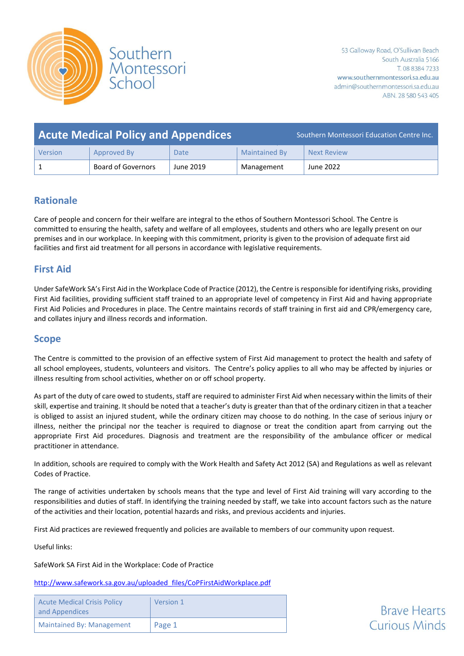

|         | <b>Acute Medical Policy and Appendices</b> |           | Southern Montessori Education Centre Inc. |                    |  |  |
|---------|--------------------------------------------|-----------|-------------------------------------------|--------------------|--|--|
| Version | Approved By                                | Date      | <b>Maintained By</b>                      | <b>Next Review</b> |  |  |
|         | Board of Governors                         | June 2019 | Management                                | June 2022          |  |  |

# **Rationale**

Care of people and concern for their welfare are integral to the ethos of Southern Montessori School. The Centre is committed to ensuring the health, safety and welfare of all employees, students and others who are legally present on our premises and in our workplace. In keeping with this commitment, priority is given to the provision of adequate first aid facilities and first aid treatment for all persons in accordance with legislative requirements.

# **First Aid**

Under SafeWork SA's First Aid in the Workplace Code of Practice (2012), the Centre is responsible for identifying risks, providing First Aid facilities, providing sufficient staff trained to an appropriate level of competency in First Aid and having appropriate First Aid Policies and Procedures in place. The Centre maintains records of staff training in first aid and CPR/emergency care, and collates injury and illness records and information.

# **Scope**

The Centre is committed to the provision of an effective system of First Aid management to protect the health and safety of all school employees, students, volunteers and visitors. The Centre's policy applies to all who may be affected by injuries or illness resulting from school activities, whether on or off school property.

As part of the duty of care owed to students, staff are required to administer First Aid when necessary within the limits of their skill, expertise and training. It should be noted that a teacher's duty is greater than that of the ordinary citizen in that a teacher is obliged to assist an injured student, while the ordinary citizen may choose to do nothing. In the case of serious injury or illness, neither the principal nor the teacher is required to diagnose or treat the condition apart from carrying out the appropriate First Aid procedures. Diagnosis and treatment are the responsibility of the ambulance officer or medical practitioner in attendance.

In addition, schools are required to comply with the Work Health and Safety Act 2012 (SA) and Regulations as well as relevant Codes of Practice.

The range of activities undertaken by schools means that the type and level of First Aid training will vary according to the responsibilities and duties of staff. In identifying the training needed by staff, we take into account factors such as the nature of the activities and their location, potential hazards and risks, and previous accidents and injuries.

First Aid practices are reviewed frequently and policies are available to members of our community upon request.

Useful links:

SafeWork SA First Aid in the Workplace: Code of Practice

[http://www.safework.sa.gov.au/uploaded\\_files/CoPFirstAidWorkplace.pdf](http://www.safework.sa.gov.au/uploaded_files/CoPFirstAidWorkplace.pdf)

| <b>Acute Medical Crisis Policy</b><br>and Appendices | Version 1 |
|------------------------------------------------------|-----------|
| Maintained By: Management                            | Page 1    |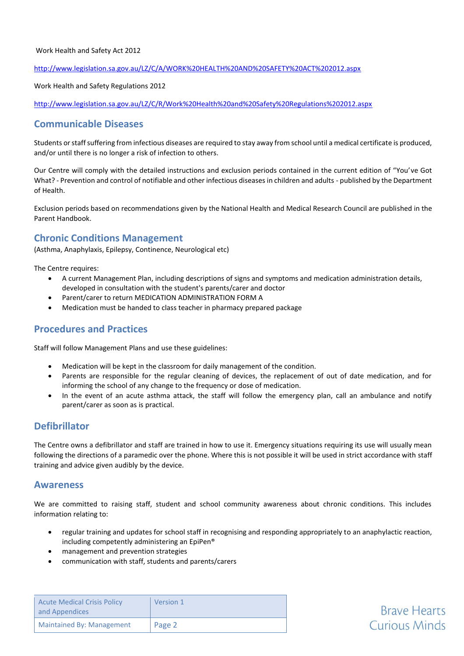#### <http://www.legislation.sa.gov.au/LZ/C/A/WORK%20HEALTH%20AND%20SAFETY%20ACT%202012.aspx>

Work Health and Safety Regulations 2012

<http://www.legislation.sa.gov.au/LZ/C/R/Work%20Health%20and%20Safety%20Regulations%202012.aspx>

# **Communicable Diseases**

Students or staff suffering from infectious diseases are required to stay away from school until a medical certificate is produced, and/or until there is no longer a risk of infection to others.

Our Centre will comply with the detailed instructions and exclusion periods contained in the current edition of "You've Got What? - Prevention and control of notifiable and other infectious diseases in children and adults - published by the Department of Health.

Exclusion periods based on recommendations given by the National Health and Medical Research Council are published in the Parent Handbook.

## **Chronic Conditions Management**

(Asthma, Anaphylaxis, Epilepsy, Continence, Neurological etc)

The Centre requires:

- A current Management Plan, including descriptions of signs and symptoms and medication administration details, developed in consultation with the student's parents/carer and doctor
- Parent/carer to return MEDICATION ADMINISTRATION FORM A
- Medication must be handed to class teacher in pharmacy prepared package

#### **Procedures and Practices**

Staff will follow Management Plans and use these guidelines:

- Medication will be kept in the classroom for daily management of the condition.
- Parents are responsible for the regular cleaning of devices, the replacement of out of date medication, and for informing the school of any change to the frequency or dose of medication.
- In the event of an acute asthma attack, the staff will follow the emergency plan, call an ambulance and notify parent/carer as soon as is practical.

# **Defibrillator**

The Centre owns a defibrillator and staff are trained in how to use it. Emergency situations requiring its use will usually mean following the directions of a paramedic over the phone. Where this is not possible it will be used in strict accordance with staff training and advice given audibly by the device.

#### **Awareness**

We are committed to raising staff, student and school community awareness about chronic conditions. This includes information relating to:

- regular training and updates for school staff in recognising and responding appropriately to an anaphylactic reaction, including competently administering an EpiPen®
- management and prevention strategies
- communication with staff, students and parents/carers

| <b>Acute Medical Crisis Policy</b><br>and Appendices | Version 1 |
|------------------------------------------------------|-----------|
| Maintained By: Management                            | Page 2    |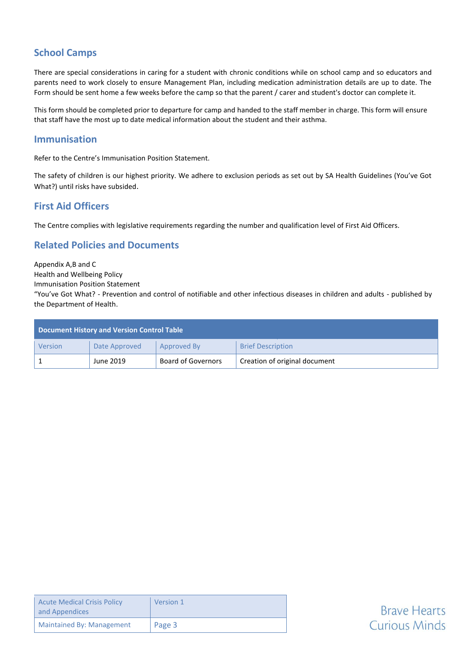# **School Camps**

There are special considerations in caring for a student with chronic conditions while on school camp and so educators and parents need to work closely to ensure Management Plan, including medication administration details are up to date. The Form should be sent home a few weeks before the camp so that the parent / carer and student's doctor can complete it.

This form should be completed prior to departure for camp and handed to the staff member in charge. This form will ensure that staff have the most up to date medical information about the student and their asthma.

## **Immunisation**

Refer to the Centre's Immunisation Position Statement.

The safety of children is our highest priority. We adhere to exclusion periods as set out by SA Health Guidelines (You've Got What?) until risks have subsided.

# **First Aid Officers**

The Centre complies with legislative requirements regarding the number and qualification level of First Aid Officers.

# **Related Policies and Documents**

Appendix A,B and C Health and Wellbeing Policy Immunisation Position Statement "You've Got What? - Prevention and control of notifiable and other infectious diseases in children and adults - published by the Department of Health.

| <b>Document History and Version Control Table</b> |               |                           |                               |  |  |  |
|---------------------------------------------------|---------------|---------------------------|-------------------------------|--|--|--|
| Version                                           | Date Approved | Approved By               | <b>Brief Description</b>      |  |  |  |
|                                                   | June 2019     | <b>Board of Governors</b> | Creation of original document |  |  |  |

| <b>Acute Medical Crisis Policy</b><br>and Appendices | Version 1 |
|------------------------------------------------------|-----------|
| <b>Maintained By: Management</b>                     | Page 3    |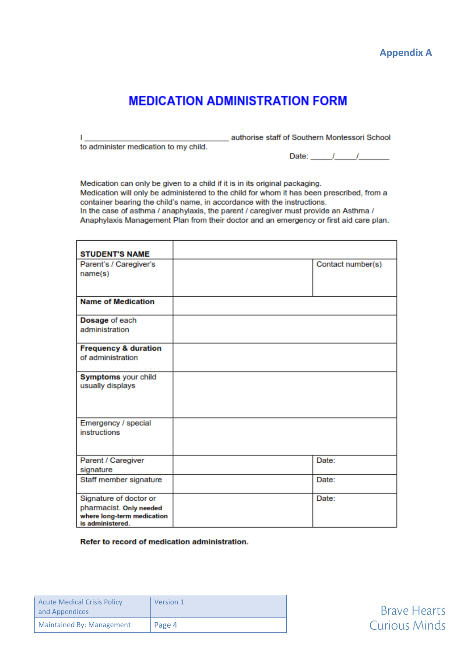

**Brave Hearts Curious Minds** 

# **MEDICATION ADMINISTRATION FORM**

to administer medication to my child.

L.

authorise staff of Southern Montessori School

| Date: |  |  |
|-------|--|--|
|       |  |  |

Medication can only be given to a child if it is in its original packaging. Medication will only be administered to the child for whom it has been prescribed, from a container bearing the child's name, in accordance with the instructions. In the case of asthma / anaphylaxis, the parent / caregiver must provide an Asthma / Anaphylaxis Management Plan from their doctor and an emergency or first aid care plan.

| <b>STUDENT'S NAME</b>           |                   |
|---------------------------------|-------------------|
| Parent's / Caregiver's          | Contact number(s) |
| name(s)                         |                   |
|                                 |                   |
| <b>Name of Medication</b>       |                   |
| Dosage of each                  |                   |
| administration                  |                   |
| <b>Frequency &amp; duration</b> |                   |
| of administration               |                   |
| Symptoms your child             |                   |
| usually displays                |                   |
|                                 |                   |
| Emergency / special             |                   |
| instructions                    |                   |
|                                 |                   |
| Parent / Caregiver              | Date:             |
| signature                       |                   |
| Staff member signature          | Date:             |
| Signature of doctor or          | Date:             |
| pharmacist. Only needed         |                   |
| where long-term medication      |                   |
| is administered.                |                   |

Refer to record of medication administration.

| <b>Acute Medical Crisis Policy</b><br>and Appendices | Version 1 |
|------------------------------------------------------|-----------|
| <b>Maintained By: Management</b>                     | Page 4    |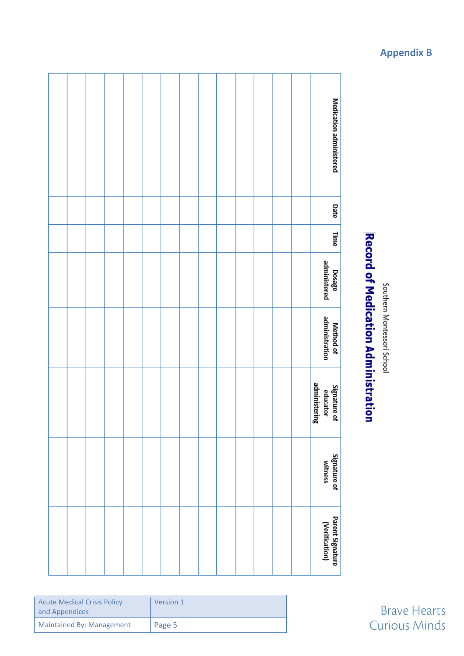Southern Montessori School

# **Record of Medication Administration**

|  |  |  |  |  |  |  | Medication administered                   |
|--|--|--|--|--|--|--|-------------------------------------------|
|  |  |  |  |  |  |  | Date                                      |
|  |  |  |  |  |  |  | Time                                      |
|  |  |  |  |  |  |  | Dosage<br>administered                    |
|  |  |  |  |  |  |  | administration<br>Method of               |
|  |  |  |  |  |  |  | administering<br>Signature of<br>educator |
|  |  |  |  |  |  |  | Signature of<br>witness                   |
|  |  |  |  |  |  |  | Parent Signature<br>(Verification)        |

| <b>Acute Medical Crisis Policy</b><br>and Appendices | Version 1 |
|------------------------------------------------------|-----------|
| Maintained By: Management                            | Page 5    |